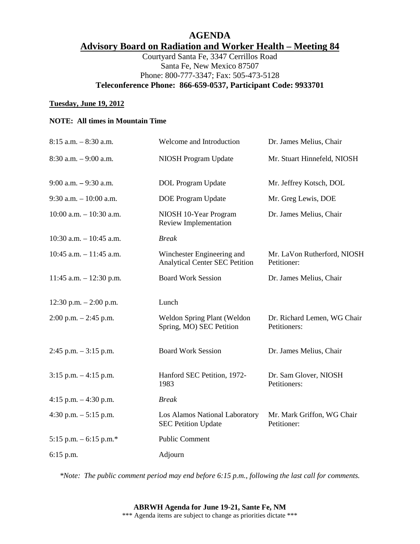# **AGENDA Advisory Board on Radiation and Worker Health – Meeting 84**

Courtyard Santa Fe, 3347 Cerrillos Road Santa Fe, New Mexico 87507 Phone: 800-777-3347; Fax: 505-473-5128 **Teleconference Phone: 866-659-0537, Participant Code: 9933701** 

#### **Tuesday, June 19, 2012**

### **NOTE: All times in Mountain Time**

| $8:15$ a.m. $-8:30$ a.m.   | Welcome and Introduction                                            | Dr. James Melius, Chair                     |
|----------------------------|---------------------------------------------------------------------|---------------------------------------------|
| $8:30$ a.m. $-9:00$ a.m.   | NIOSH Program Update                                                | Mr. Stuart Hinnefeld, NIOSH                 |
| $9:00$ a.m. $-9:30$ a.m.   | <b>DOL</b> Program Update                                           | Mr. Jeffrey Kotsch, DOL                     |
| $9:30$ a.m. $-10:00$ a.m.  | <b>DOE</b> Program Update                                           | Mr. Greg Lewis, DOE                         |
| $10:00$ a.m. $-10:30$ a.m. | NIOSH 10-Year Program<br><b>Review Implementation</b>               | Dr. James Melius, Chair                     |
| $10:30$ a.m. $-10:45$ a.m. | <b>Break</b>                                                        |                                             |
| $10:45$ a.m. $-11:45$ a.m. | Winchester Engineering and<br><b>Analytical Center SEC Petition</b> | Mr. LaVon Rutherford, NIOSH<br>Petitioner:  |
| $11:45$ a.m. $-12:30$ p.m. | <b>Board Work Session</b>                                           | Dr. James Melius, Chair                     |
| 12:30 p.m. $- 2:00$ p.m.   | Lunch                                                               |                                             |
| $2:00$ p.m. $-2:45$ p.m.   | Weldon Spring Plant (Weldon<br>Spring, MO) SEC Petition             | Dr. Richard Lemen, WG Chair<br>Petitioners: |
| $2:45$ p.m. $-3:15$ p.m.   | <b>Board Work Session</b>                                           | Dr. James Melius, Chair                     |
| $3:15$ p.m. $-4:15$ p.m.   | Hanford SEC Petition, 1972-<br>1983                                 | Dr. Sam Glover, NIOSH<br>Petitioners:       |
| 4:15 p.m. $-4:30$ p.m.     | <b>Break</b>                                                        |                                             |
| 4:30 p.m. $-5:15$ p.m.     | Los Alamos National Laboratory<br><b>SEC Petition Update</b>        | Mr. Mark Griffon, WG Chair<br>Petitioner:   |
| 5:15 p.m. $-$ 6:15 p.m.*   | <b>Public Comment</b>                                               |                                             |
| 6:15 p.m.                  | Adjourn                                                             |                                             |
|                            |                                                                     |                                             |

*\*Note: The public comment period may end before 6:15 p.m., following the last call for comments.*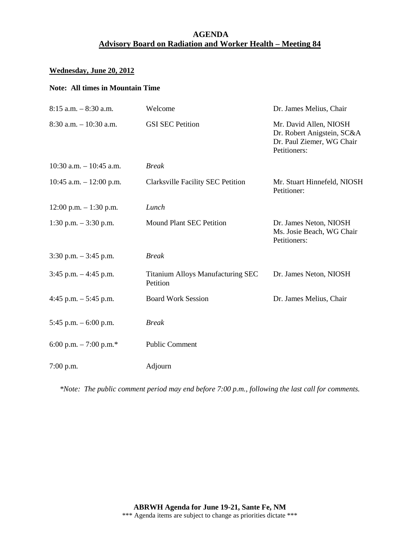# **AGENDA Advisory Board on Radiation and Worker Health – Meeting 84**

#### **Wednesday, June 20, 2012**

#### **Note: All times in Mountain Time**

| $8:15$ a.m. $-8:30$ a.m.   | Welcome                                       | Dr. James Melius, Chair                                                                           |
|----------------------------|-----------------------------------------------|---------------------------------------------------------------------------------------------------|
| $8:30$ a.m. $-10:30$ a.m.  | <b>GSI SEC Petition</b>                       | Mr. David Allen, NIOSH<br>Dr. Robert Anigstein, SC&A<br>Dr. Paul Ziemer, WG Chair<br>Petitioners: |
| $10:30$ a.m. $-10:45$ a.m. | <b>Break</b>                                  |                                                                                                   |
| 10:45 a.m. $- 12:00$ p.m.  | <b>Clarksville Facility SEC Petition</b>      | Mr. Stuart Hinnefeld, NIOSH<br>Petitioner:                                                        |
| $12:00$ p.m. $-1:30$ p.m.  | Lunch                                         |                                                                                                   |
| 1:30 p.m. $-3:30$ p.m.     | Mound Plant SEC Petition                      | Dr. James Neton, NIOSH<br>Ms. Josie Beach, WG Chair<br>Petitioners:                               |
| $3:30$ p.m. $-3:45$ p.m.   | <b>Break</b>                                  |                                                                                                   |
| $3:45$ p.m. $-4:45$ p.m.   | Titanium Alloys Manufacturing SEC<br>Petition | Dr. James Neton, NIOSH                                                                            |
| 4:45 p.m. $-$ 5:45 p.m.    | <b>Board Work Session</b>                     | Dr. James Melius, Chair                                                                           |
| 5:45 p.m. $-6:00$ p.m.     | <b>Break</b>                                  |                                                                                                   |
| 6:00 p.m. $-7:00$ p.m.*    | <b>Public Comment</b>                         |                                                                                                   |
| $7:00$ p.m.                | Adjourn                                       |                                                                                                   |

*\*Note: The public comment period may end before 7:00 p.m., following the last call for comments.*